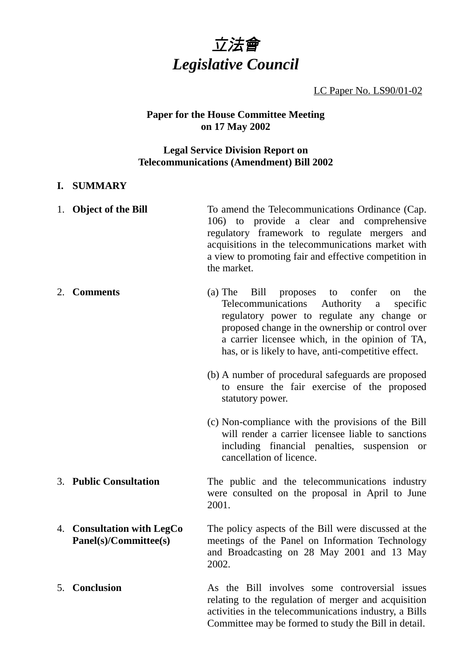

LC Paper No. LS90/01-02

# **Paper for the House Committee Meeting on 17 May 2002**

## **Legal Service Division Report on Telecommunications (Amendment) Bill 2002**

### **I. SUMMARY**

| 1. Object of the Bill                               | To amend the Telecommunications Ordinance (Cap.<br>106) to provide a clear and comprehensive<br>regulatory framework to regulate mergers and<br>acquisitions in the telecommunications market with<br>a view to promoting fair and effective competition in<br>the market.                                                            |
|-----------------------------------------------------|---------------------------------------------------------------------------------------------------------------------------------------------------------------------------------------------------------------------------------------------------------------------------------------------------------------------------------------|
| 2. Comments                                         | $(a)$ The<br>Bill<br>confer<br>proposes<br>to<br>the<br><sub>on</sub><br>Telecommunications<br>Authority<br>specific<br>a<br>regulatory power to regulate any change or<br>proposed change in the ownership or control over<br>a carrier licensee which, in the opinion of TA,<br>has, or is likely to have, anti-competitive effect. |
|                                                     | (b) A number of procedural safeguards are proposed<br>to ensure the fair exercise of the proposed<br>statutory power.                                                                                                                                                                                                                 |
|                                                     | (c) Non-compliance with the provisions of the Bill<br>will render a carrier licensee liable to sanctions<br>including financial penalties, suspension or<br>cancellation of licence.                                                                                                                                                  |
| 3. Public Consultation                              | The public and the telecommunications industry<br>were consulted on the proposal in April to June<br>2001.                                                                                                                                                                                                                            |
| 4. Consultation with LegCo<br>Panel(s)/Committee(s) | The policy aspects of the Bill were discussed at the<br>meetings of the Panel on Information Technology<br>and Broadcasting on 28 May 2001 and 13 May<br>2002.                                                                                                                                                                        |
| 5. Conclusion                                       | As the Bill involves some controversial issues<br>relating to the regulation of merger and acquisition<br>activities in the telecommunications industry, a Bills                                                                                                                                                                      |

Committee may be formed to study the Bill in detail.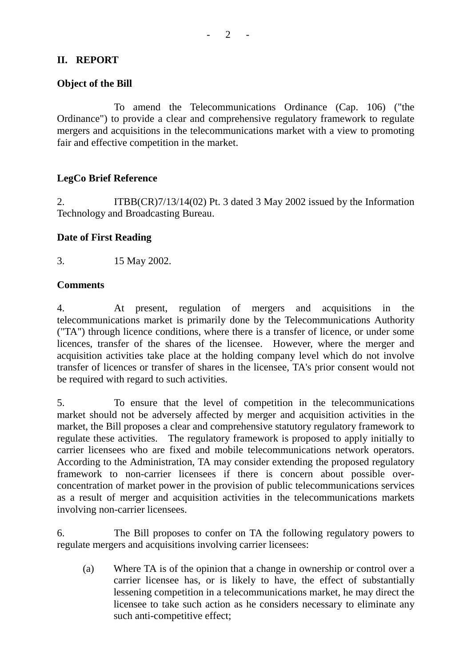## **II. REPORT**

## **Object of the Bill**

To amend the Telecommunications Ordinance (Cap. 106) ("the Ordinance") to provide a clear and comprehensive regulatory framework to regulate mergers and acquisitions in the telecommunications market with a view to promoting fair and effective competition in the market.

### **LegCo Brief Reference**

2. ITBB(CR)7/13/14(02) Pt. 3 dated 3 May 2002 issued by the Information Technology and Broadcasting Bureau.

### **Date of First Reading**

3. 15 May 2002.

#### **Comments**

4. At present, regulation of mergers and acquisitions in the telecommunications market is primarily done by the Telecommunications Authority ("TA") through licence conditions, where there is a transfer of licence, or under some licences, transfer of the shares of the licensee. However, where the merger and acquisition activities take place at the holding company level which do not involve transfer of licences or transfer of shares in the licensee, TA's prior consent would not be required with regard to such activities.

5. To ensure that the level of competition in the telecommunications market should not be adversely affected by merger and acquisition activities in the market, the Bill proposes a clear and comprehensive statutory regulatory framework to regulate these activities. The regulatory framework is proposed to apply initially to carrier licensees who are fixed and mobile telecommunications network operators. According to the Administration, TA may consider extending the proposed regulatory framework to non-carrier licensees if there is concern about possible overconcentration of market power in the provision of public telecommunications services as a result of merger and acquisition activities in the telecommunications markets involving non-carrier licensees.

6. The Bill proposes to confer on TA the following regulatory powers to regulate mergers and acquisitions involving carrier licensees:

(a) Where TA is of the opinion that a change in ownership or control over a carrier licensee has, or is likely to have, the effect of substantially lessening competition in a telecommunications market, he may direct the licensee to take such action as he considers necessary to eliminate any such anti-competitive effect;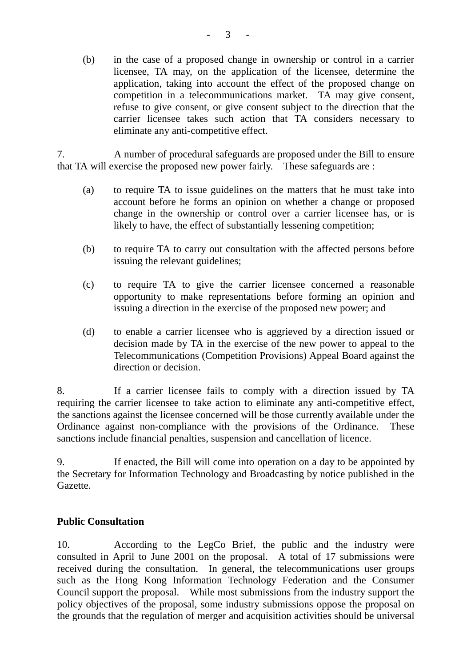(b) in the case of a proposed change in ownership or control in a carrier licensee, TA may, on the application of the licensee, determine the application, taking into account the effect of the proposed change on competition in a telecommunications market. TA may give consent, refuse to give consent, or give consent subject to the direction that the carrier licensee takes such action that TA considers necessary to eliminate any anti-competitive effect.

7. A number of procedural safeguards are proposed under the Bill to ensure that TA will exercise the proposed new power fairly. These safeguards are :

- (a) to require TA to issue guidelines on the matters that he must take into account before he forms an opinion on whether a change or proposed change in the ownership or control over a carrier licensee has, or is likely to have, the effect of substantially lessening competition;
- (b) to require TA to carry out consultation with the affected persons before issuing the relevant guidelines;
- (c) to require TA to give the carrier licensee concerned a reasonable opportunity to make representations before forming an opinion and issuing a direction in the exercise of the proposed new power; and
- (d) to enable a carrier licensee who is aggrieved by a direction issued or decision made by TA in the exercise of the new power to appeal to the Telecommunications (Competition Provisions) Appeal Board against the direction or decision.

8. If a carrier licensee fails to comply with a direction issued by TA requiring the carrier licensee to take action to eliminate any anti-competitive effect, the sanctions against the licensee concerned will be those currently available under the Ordinance against non-compliance with the provisions of the Ordinance. These sanctions include financial penalties, suspension and cancellation of licence.

9. If enacted, the Bill will come into operation on a day to be appointed by the Secretary for Information Technology and Broadcasting by notice published in the Gazette.

## **Public Consultation**

10. According to the LegCo Brief, the public and the industry were consulted in April to June 2001 on the proposal. A total of 17 submissions were received during the consultation. In general, the telecommunications user groups such as the Hong Kong Information Technology Federation and the Consumer Council support the proposal. While most submissions from the industry support the policy objectives of the proposal, some industry submissions oppose the proposal on the grounds that the regulation of merger and acquisition activities should be universal